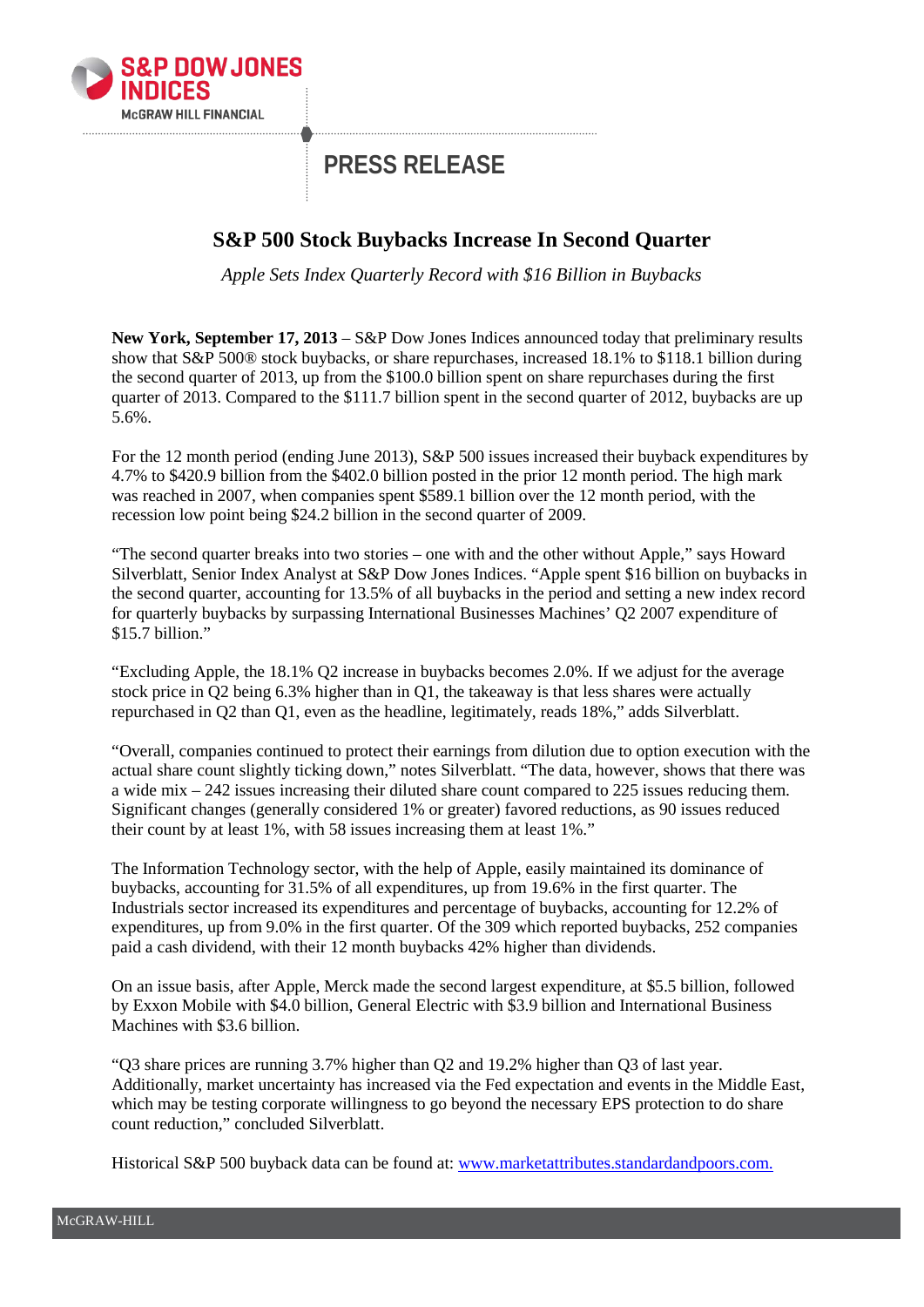

## **PRESS RELEASE**

## **S&P 500 Stock Buybacks Increase In Second Quarter**

*Apple Sets Index Quarterly Record with \$16 Billion in Buybacks*

**New York, September 17, 2013** – S&P Dow Jones Indices announced today that preliminary results show that S&P 500® stock buybacks, or share repurchases, increased 18.1% to \$118.1 billion during the second quarter of 2013, up from the \$100.0 billion spent on share repurchases during the first quarter of 2013. Compared to the \$111.7 billion spent in the second quarter of 2012, buybacks are up 5.6%.

For the 12 month period (ending June 2013), S&P 500 issues increased their buyback expenditures by 4.7% to \$420.9 billion from the \$402.0 billion posted in the prior 12 month period. The high mark was reached in 2007, when companies spent \$589.1 billion over the 12 month period, with the recession low point being \$24.2 billion in the second quarter of 2009.

"The second quarter breaks into two stories – one with and the other without Apple," says Howard Silverblatt, Senior Index Analyst at S&P Dow Jones Indices. "Apple spent \$16 billion on buybacks in the second quarter, accounting for 13.5% of all buybacks in the period and setting a new index record for quarterly buybacks by surpassing International Businesses Machines' Q2 2007 expenditure of \$15.7 billion."

"Excluding Apple, the 18.1% Q2 increase in buybacks becomes 2.0%. If we adjust for the average stock price in Q2 being 6.3% higher than in Q1, the takeaway is that less shares were actually repurchased in Q2 than Q1, even as the headline, legitimately, reads 18%," adds Silverblatt.

"Overall, companies continued to protect their earnings from dilution due to option execution with the actual share count slightly ticking down," notes Silverblatt. "The data, however, shows that there was a wide mix – 242 issues increasing their diluted share count compared to 225 issues reducing them. Significant changes (generally considered 1% or greater) favored reductions, as 90 issues reduced their count by at least 1%, with 58 issues increasing them at least 1%."

The Information Technology sector, with the help of Apple, easily maintained its dominance of buybacks, accounting for 31.5% of all expenditures, up from 19.6% in the first quarter. The Industrials sector increased its expenditures and percentage of buybacks, accounting for 12.2% of expenditures, up from 9.0% in the first quarter. Of the 309 which reported buybacks, 252 companies paid a cash dividend, with their 12 month buybacks 42% higher than dividends.

On an issue basis, after Apple, Merck made the second largest expenditure, at \$5.5 billion, followed by Exxon Mobile with \$4.0 billion, General Electric with \$3.9 billion and International Business Machines with \$3.6 billion.

"Q3 share prices are running 3.7% higher than Q2 and 19.2% higher than Q3 of last year. Additionally, market uncertainty has increased via the Fed expectation and events in the Middle East, which may be testing corporate willingness to go beyond the necessary EPS protection to do share count reduction," concluded Silverblatt.

Historical S&P 500 buyback data can be found at: [www.marketattributes.standardandpoors.com.](http://www.marketattributes.standardandpoors.com/)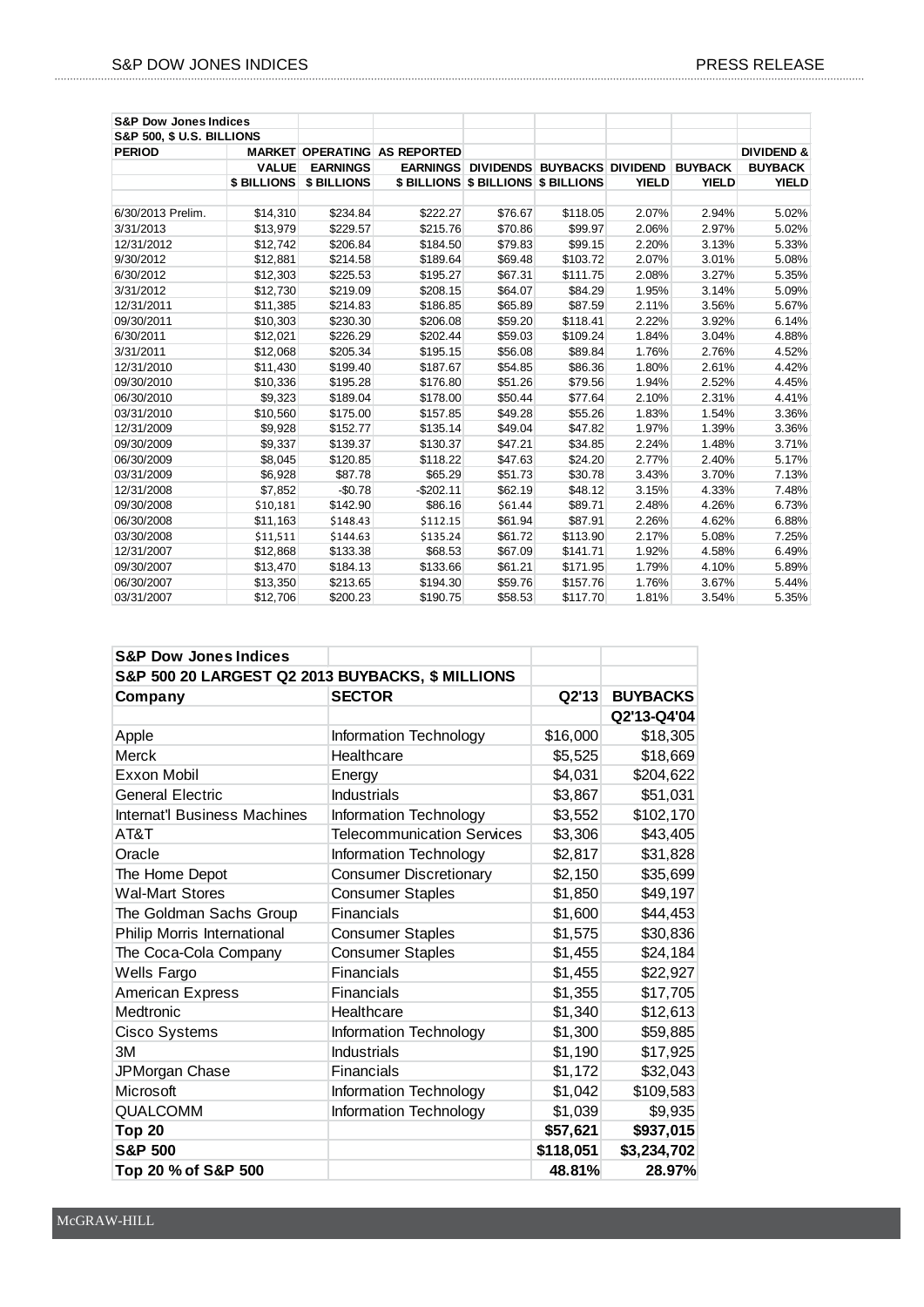| <b>S&amp;P Dow Jones Indices</b>     |              |                    |                                     |         |                                             |              |                |                       |
|--------------------------------------|--------------|--------------------|-------------------------------------|---------|---------------------------------------------|--------------|----------------|-----------------------|
| <b>S&amp;P 500, \$ U.S. BILLIONS</b> |              |                    |                                     |         |                                             |              |                |                       |
| <b>PERIOD</b>                        |              |                    | <b>MARKET OPERATING AS REPORTED</b> |         |                                             |              |                | <b>DIVIDEND &amp;</b> |
|                                      | <b>VALUE</b> | <b>EARNINGS</b>    |                                     |         | <b>EARNINGS DIVIDENDS BUYBACKS DIVIDEND</b> |              | <b>BUYBACK</b> | <b>BUYBACK</b>        |
|                                      | \$ BILLIONS  | <b>\$ BILLIONS</b> |                                     |         | \$ BILLIONS \$ BILLIONS \$ BILLIONS         | <b>YIELD</b> | <b>YIELD</b>   | <b>YIELD</b>          |
| 6/30/2013 Prelim.                    | \$14,310     | \$234.84           | \$222.27                            | \$76.67 | \$118.05                                    | 2.07%        | 2.94%          | 5.02%                 |
| 3/31/2013                            | \$13,979     | \$229.57           | \$215.76                            | \$70.86 | \$99.97                                     | 2.06%        | 2.97%          | 5.02%                 |
| 12/31/2012                           | \$12,742     | \$206.84           | \$184.50                            | \$79.83 | \$99.15                                     | 2.20%        | 3.13%          | 5.33%                 |
| 9/30/2012                            | \$12,881     | \$214.58           | \$189.64                            | \$69.48 | \$103.72                                    | 2.07%        | 3.01%          | 5.08%                 |
| 6/30/2012                            | \$12,303     | \$225.53           | \$195.27                            | \$67.31 | \$111.75                                    | 2.08%        | 3.27%          | 5.35%                 |
| 3/31/2012                            | \$12,730     | \$219.09           | \$208.15                            | \$64.07 | \$84.29                                     | 1.95%        | 3.14%          | 5.09%                 |
| 12/31/2011                           | \$11,385     | \$214.83           | \$186.85                            | \$65.89 | \$87.59                                     | 2.11%        | 3.56%          | 5.67%                 |
| 09/30/2011                           | \$10,303     | \$230.30           | \$206.08                            | \$59.20 | \$118.41                                    | 2.22%        | 3.92%          | 6.14%                 |
| 6/30/2011                            | \$12,021     | \$226.29           | \$202.44                            | \$59.03 | \$109.24                                    | 1.84%        | 3.04%          | 4.88%                 |
| 3/31/2011                            | \$12,068     | \$205.34           | \$195.15                            | \$56.08 | \$89.84                                     | 1.76%        | 2.76%          | 4.52%                 |
| 12/31/2010                           | \$11,430     | \$199.40           | \$187.67                            | \$54.85 | \$86.36                                     | 1.80%        | 2.61%          | 4.42%                 |
| 09/30/2010                           | \$10,336     | \$195.28           | \$176.80                            | \$51.26 | \$79.56                                     | 1.94%        | 2.52%          | 4.45%                 |
| 06/30/2010                           | \$9,323      | \$189.04           | \$178.00                            | \$50.44 | \$77.64                                     | 2.10%        | 2.31%          | 4.41%                 |
| 03/31/2010                           | \$10,560     | \$175.00           | \$157.85                            | \$49.28 | \$55.26                                     | 1.83%        | 1.54%          | 3.36%                 |
| 12/31/2009                           | \$9,928      | \$152.77           | \$135.14                            | \$49.04 | \$47.82                                     | 1.97%        | 1.39%          | 3.36%                 |
| 09/30/2009                           | \$9,337      | \$139.37           | \$130.37                            | \$47.21 | \$34.85                                     | 2.24%        | 1.48%          | 3.71%                 |
| 06/30/2009                           | \$8,045      | \$120.85           | \$118.22                            | \$47.63 | \$24.20                                     | 2.77%        | 2.40%          | 5.17%                 |
| 03/31/2009                           | \$6,928      | \$87.78            | \$65.29                             | \$51.73 | \$30.78                                     | 3.43%        | 3.70%          | 7.13%                 |
| 12/31/2008                           | \$7,852      | $-$0.78$           | $-$202.11$                          | \$62.19 | \$48.12                                     | 3.15%        | 4.33%          | 7.48%                 |
| 09/30/2008                           | \$10,181     | \$142.90           | \$86.16                             | \$61.44 | \$89.71                                     | 2.48%        | 4.26%          | 6.73%                 |
| 06/30/2008                           | \$11,163     | \$148.43           | \$112.15                            | \$61.94 | \$87.91                                     | 2.26%        | 4.62%          | 6.88%                 |
| 03/30/2008                           | \$11,511     | \$144.63           | \$135.24                            | \$61.72 | \$113.90                                    | 2.17%        | 5.08%          | 7.25%                 |
| 12/31/2007                           | \$12,868     | \$133.38           | \$68.53                             | \$67.09 | \$141.71                                    | 1.92%        | 4.58%          | 6.49%                 |
| 09/30/2007                           | \$13,470     | \$184.13           | \$133.66                            | \$61.21 | \$171.95                                    | 1.79%        | 4.10%          | 5.89%                 |
| 06/30/2007                           | \$13,350     | \$213.65           | \$194.30                            | \$59.76 | \$157.76                                    | 1.76%        | 3.67%          | 5.44%                 |
| 03/31/2007                           | \$12.706     | \$200.23           | \$190.75                            | \$58.53 | \$117.70                                    | 1.81%        | 3.54%          | 5.35%                 |

| <b>S&amp;P Dow Jones Indices</b>                 |                                   |           |                 |  |  |  |
|--------------------------------------------------|-----------------------------------|-----------|-----------------|--|--|--|
| S&P 500 20 LARGEST Q2 2013 BUYBACKS, \$ MILLIONS |                                   |           |                 |  |  |  |
| Company                                          | <b>SECTOR</b>                     | Q2'13     | <b>BUYBACKS</b> |  |  |  |
|                                                  |                                   |           | Q2'13-Q4'04     |  |  |  |
| Apple                                            | Information Technology            | \$16,000  | \$18,305        |  |  |  |
| Merck                                            | Healthcare                        | \$5,525   | \$18,669        |  |  |  |
| Exxon Mobil                                      | Energy                            | \$4,031   | \$204,622       |  |  |  |
| <b>General Electric</b>                          | <b>Industrials</b>                | \$3,867   | \$51,031        |  |  |  |
| <b>Internat'l Business Machines</b>              | Information Technology            | \$3,552   | \$102,170       |  |  |  |
| AT&T                                             | <b>Telecommunication Services</b> | \$3,306   | \$43,405        |  |  |  |
| Oracle                                           | Information Technology            | \$2,817   | \$31,828        |  |  |  |
| The Home Depot                                   | <b>Consumer Discretionary</b>     | \$2,150   | \$35,699        |  |  |  |
| <b>Wal-Mart Stores</b>                           | <b>Consumer Staples</b>           | \$1,850   | \$49,197        |  |  |  |
| The Goldman Sachs Group                          | <b>Financials</b>                 | \$1,600   | \$44,453        |  |  |  |
| Philip Morris International                      | <b>Consumer Staples</b>           | \$1,575   | \$30,836        |  |  |  |
| The Coca-Cola Company                            | <b>Consumer Staples</b>           | \$1,455   | \$24,184        |  |  |  |
| Wells Fargo                                      | <b>Financials</b>                 | \$1,455   | \$22,927        |  |  |  |
| American Express                                 | Financials                        | \$1,355   | \$17,705        |  |  |  |
| Medtronic                                        | Healthcare                        | \$1,340   | \$12,613        |  |  |  |
| Cisco Systems                                    | Information Technology            | \$1,300   | \$59,885        |  |  |  |
| 3M                                               | <b>Industrials</b>                | \$1,190   | \$17,925        |  |  |  |
| JPMorgan Chase                                   | Financials                        | \$1,172   | \$32,043        |  |  |  |
| Microsoft                                        | Information Technology            | \$1,042   | \$109,583       |  |  |  |
| <b>QUALCOMM</b>                                  | Information Technology            | \$1,039   | \$9,935         |  |  |  |
| <b>Top 20</b>                                    |                                   | \$57,621  | \$937,015       |  |  |  |
| <b>S&amp;P 500</b>                               |                                   | \$118,051 | \$3,234,702     |  |  |  |
| Top 20 % of S&P 500                              |                                   | 48.81%    | 28.97%          |  |  |  |